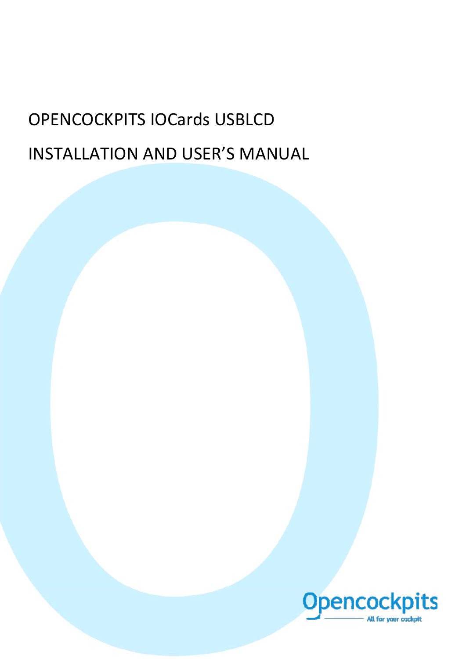# OPENCOCKPITS IOCards USBLCD INSTALLATION AND USER'S MANUAL

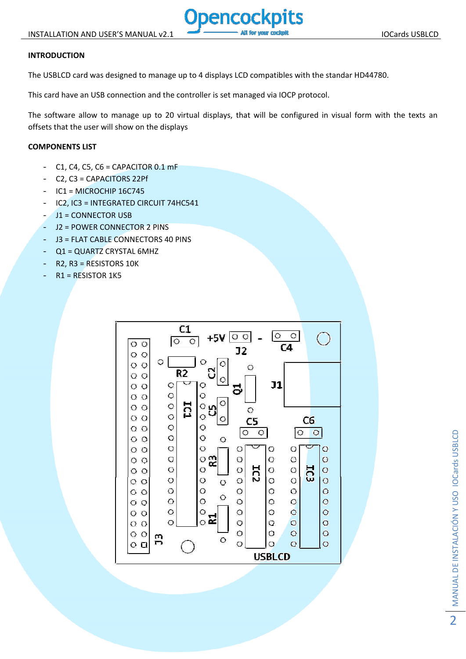# **INTRODUCTION**

The USBLCD card was designed to manage up to 4 displays LCD compatibles with the standar HD44780.

This card have an USB connection and the controller is set managed via IOCP protocol.

The software allow to manage up to 20 virtual displays, that will be configured in visual form with the texts an offsets that the user will show on the displays

## **COMPONENTS LIST**

- $C1, C4, C5, C6 = CAPACITOR 0.1 mF$
- C2, C3 = CAPACITORS 22Pf
- $IC1 = MICROCHIP 16C745$
- IC2, IC3 = INTEGRATED CIRCUIT 74HC541
- J1 = CONNECTOR USB
- J2 = POWER CONNECTOR 2 PINS
- J3 = FLAT CABLE CONNECTORS 40 PINS
- Q1 = QUARTZ CRYSTAL 6MHZ
- $R2, R3 = RESISTORS 10K$
- $R1$  = RESISTOR 1K5

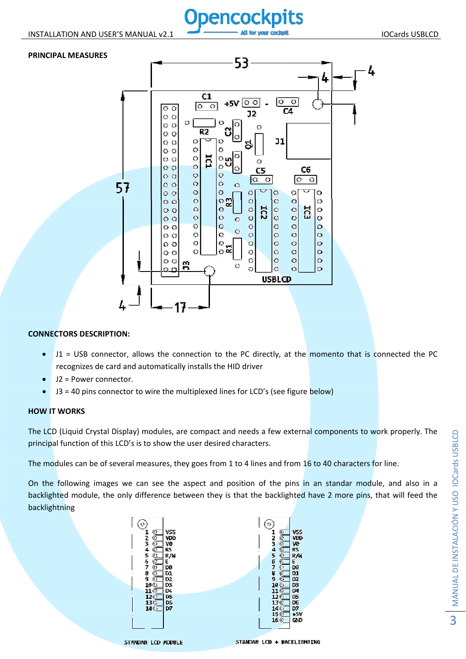#### **PRINCIPAL MEASURES**



# **CONNECTORS DESCRIPTION:**

- J1 = USB connector, allows the connection to the PC directly, at the momento that is connected the PC recognizes de card and automatically installs the HID driver
- J2 = Power connector.
- J3 = 40 pins connector to wire the multiplexed lines for LCD's (see figure below)

## **HOW IT WORKS**

The LCD (Liquid Crystal Display) modules, are compact and needs a few external components to work properly. The principal function of this LCD's is to show the user desired characters.

The modules can be of several measures, they goes from 1 to 4 lines and from 16 to 40 characters for line.

On the following images we can see the aspect and position of the pins in an standar module, and also in a backlighted module, the only difference between they is that the backlighted have 2 more pins, that will feed the backlightning

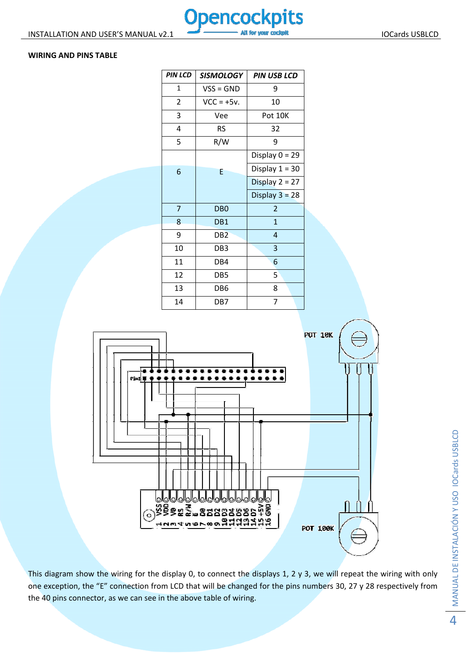## **WIRING AND PINS TABLE**

| <b>PIN LCD</b> | <b>SISMOLOGY</b> | <b>PIN USB LCD</b> |
|----------------|------------------|--------------------|
| 1              | $VSS = GND$      | 9                  |
| $\overline{2}$ | $VCC = +5v$ .    | 10                 |
| 3              | Vee              | Pot 10K            |
| 4              | <b>RS</b>        | 32                 |
| 5              | R/W              | 9                  |
|                |                  | Display $0 = 29$   |
| 6              | E                | Display $1 = 30$   |
|                |                  | Display $2 = 27$   |
|                |                  | Display $3 = 28$   |
| $\overline{7}$ | D <sub>B</sub> O | $\overline{2}$     |
| 8              | DB <sub>1</sub>  | $\mathbf{1}$       |
| 9              | DB <sub>2</sub>  | 4                  |
| 10             | DB3              | 3                  |
| 11             | DB4              | 6                  |
| 12             | DB5              | 5 <sup>2</sup>     |
| 13             | DB6              | 8                  |
| 14             | DB7              | 7                  |



This diagram show the wiring for the display 0, to connect the displays 1, 2 y 3, we will repeat the wiring with only one exception, the "E" connection from LCD that will be changed for the pins numbers 30, 27 y 28 respectively from the 40 pins connector, as we can see in the above table of wiring.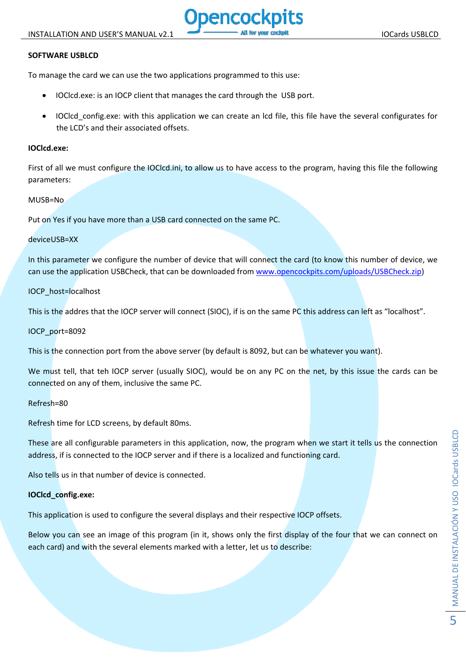# **SOFTWARE USBLCD**

To manage the card we can use the two applications programmed to this use:

- IOClcd.exe: is an IOCP client that manages the card through the USB port.
- IOClcd\_config.exe: with this application we can create an lcd file, this file have the several configurates for the LCD's and their associated offsets.

#### **IOClcd.exe:**

First of all we must configure the IOClcd.ini, to allow us to have access to the program, having this file the following parameters:

#### MUSB=No

Put on Yes if you have more than a USB card connected on the same PC.

#### deviceUSB=XX

In this parameter we configure the number of device that will connect the card (to know this number of device, we can use the application USBCheck, that can be downloaded from www.opencockpits.com/uploads/USBCheck.zip)

## IOCP\_host=localhost

This is the addres that the IOCP server will connect (SIOC), if is on the same PC this address can left as "localhost".

## IOCP\_port=8092

This is the connection port from the above server (by default is 8092, but can be whatever you want).

We must tell, that teh IOCP server (usually SIOC), would be on any PC on the net, by this issue the cards can be connected on any of them, inclusive the same PC.

## Refresh=80

Refresh time for LCD screens, by default 80ms.

These are all configurable parameters in this application, now, the program when we start it tells us the connection address, if is connected to the IOCP server and if there is a localized and functioning card.

Also tells us in that number of device is connected.

## **IOClcd\_config.exe:**

This application is used to configure the several displays and their respective IOCP offsets.

Below you can see an image of this program (in it, shows only the first display of the four that we can connect on each card) and with the several elements marked with a letter, let us to describe: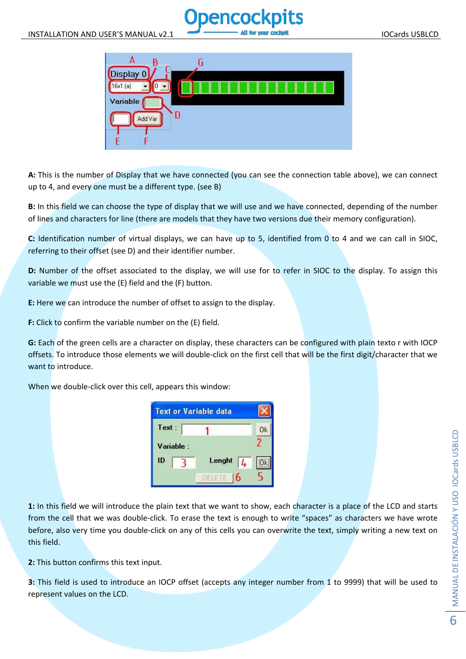



**A:** This is the number of Display that we have connected (you can see the connection table above), we can connect up to 4, and every one must be a different type. (see B)

**B:** In this field we can choose the type of display that we will use and we have connected, depending of the number of lines and characters for line (there are models that they have two versions due their memory configuration).

**C:** Identification number of virtual displays, we can have up to 5, identified from 0 to 4 and we can call in SIOC, referring to their offset (see D) and their identifier number.

**D:** Number of the offset associated to the display, we will use for to refer in SIOC to the display. To assign this variable we must use the (E) field and the (F) button.

**E:** Here we can introduce the number of offset to assign to the display.

**F:** Click to confirm the variable number on the (E) field.

**G:** Each of the green cells are a character on display, these characters can be configured with plain texto r with IOCP offsets. To introduce those elements we will double‐click on the first cell that will be the first digit/character that we want to introduce.

When we double-click over this cell, appears this window:

| <b>Text or Variable data</b> |  |             |    |
|------------------------------|--|-------------|----|
| Text:                        |  |             | Ūk |
| Variable :                   |  |             |    |
| ID                           |  | Lenght<br>4 |    |
|                              |  | DELETE<br>6 |    |

**1:** In this field we will introduce the plain text that we want to show, each character is a place of the LCD and starts from the cell that we was double-click. To erase the text is enough to write "spaces" as characters we have wrote before, also very time you double-click on any of this cells you can overwrite the text, simply writing a new text on this field.

**2:** This button confirms this text input.

**3:** This field is used to introduce an IOCP offset (accepts any integer number from 1 to 9999) that will be used to represent values on the LCD.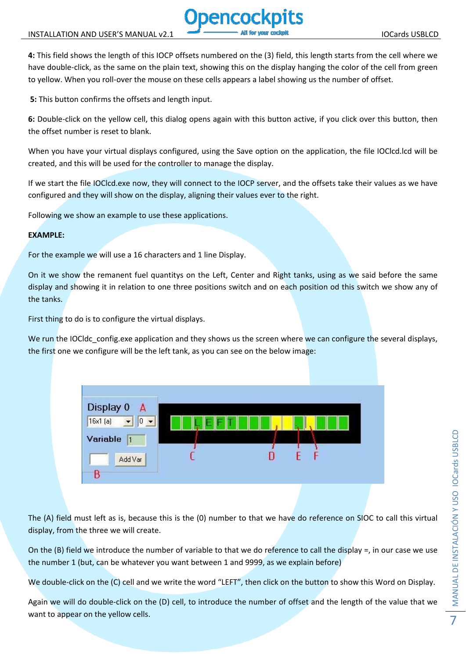**4:** This field shows the length of this IOCP offsets numbered on the (3) field, this length starts from the cell where we have double-click, as the same on the plain text, showing this on the display hanging the color of the cell from green to yellow. When you roll‐over the mouse on these cells appears a label showing us the number of offset.

**5:** This button confirms the offsets and length input.

**6:** Double‐click on the yellow cell, this dialog opens again with this button active, if you click over this button, then the offset number is reset to blank.

When you have your virtual displays configured, using the Save option on the application, the file IOClcd.lcd will be created, and this will be used for the controller to manage the display.

If we start the file IOClcd.exe now, they will connect to the IOCP server, and the offsets take their values as we have configured and they will show on the display, aligning their values ever to the right.

Following we show an example to use these applications.

#### **EXAMPLE:**

For the example we will use a 16 characters and 1 line Display.

On it we show the remanent fuel quantitys on the Left, Center and Right tanks, using as we said before the same display and showing it in relation to one three positions switch and on each position od this switch we show any of the tanks.

First thing to do is to configure the virtual displays.

We run the IOCldc config.exe application and they shows us the screen where we can configure the several displays, the first one we configure will be the left tank, as you can see on the below image:



The (A) field must left as is, because this is the (0) number to that we have do reference on SIOC to call this virtual display, from the three we will create.

On the (B) field we introduce the number of variable to that we do reference to call the display =, in our case we use the number 1 (but, can be whatever you want between 1 and 9999, as we explain before)

We double-click on the (C) cell and we write the word "LEFT", then click on the button to show this Word on Display.

Again we will do double‐click on the (D) cell, to introduce the number of offset and the length of the value that we want to appear on the yellow cells.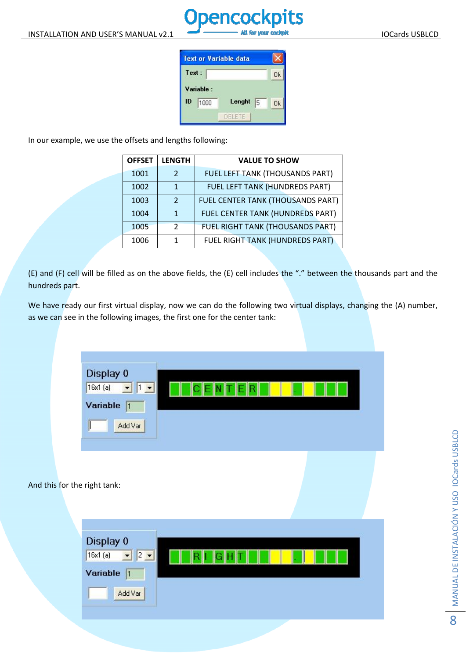

**Text or Variable data** Text:  $0<sup>k</sup>$ Variable : Lenght  $\sqrt{5}$  $ID \t{1000}$  $0k$ DELETE

In our example, we use the offsets and lengths following:

| <b>OFFSET</b> | <b>LENGTH</b> | <b>VALUE TO SHOW</b>                    |
|---------------|---------------|-----------------------------------------|
| 1001          | っ             | FUEL LEFT TANK (THOUSANDS PART)         |
| 1002          |               | FUEL LEFT TANK (HUNDREDS PART)          |
| 1003          | $\mathcal{D}$ | FUEL CENTER TANK (THOUSANDS PART)       |
| 1004          | 1             | <b>FUEL CENTER TANK (HUNDREDS PART)</b> |
| 1005          | $\mathcal{P}$ | FUEL RIGHT TANK (THOUSANDS PART)        |
| 1006          |               | <b>FUEL RIGHT TANK (HUNDREDS PART)</b>  |

(E) and (F) cell will be filled as on the above fields, the (E) cell includes the "." between the thousands part and the hundreds part.

We have ready our first virtual display, now we can do the following two virtual displays, changing the (A) number, as we can see in the following images, the first one for the center tank:



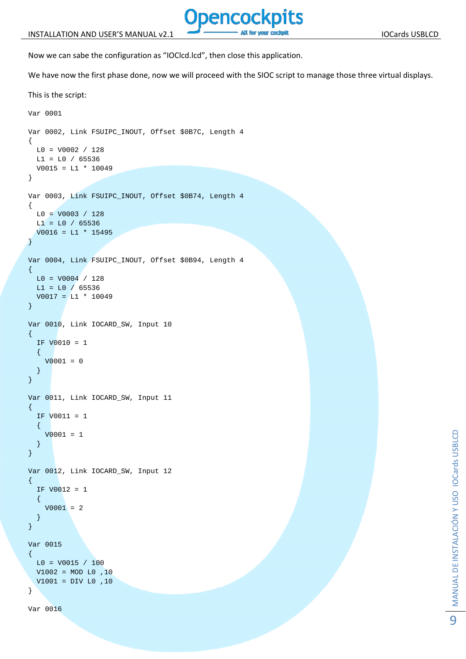

Now we can sabe the configuration as "IOClcd.lcd", then close this application.

We have now the first phase done, now we will proceed with the SIOC script to manage those three virtual displays.

```
This is the script:
```

```
Var 0001 
Var 0002, Link FSUIPC_INOUT, Offset $0B7C, Length 4 
{ 
  L0 = V0002 / 128 
 LI = L0 / 65536V0015 = L1 * 10049} 
Var 0003, Link FSUIPC_INOUT, Offset $0B74, Length 4 
{ 
  LO = V0003 / 128LI = L0 / 65536V0016 = L1 * 15495} 
Var 0004, Link FSUIPC_INOUT, Offset $0B94, Length 4 
{ 
  L0 = V0004 / 128 
 LI = L0 / 65536V0017 = L1 * 10049} 
Var 0010, Link IOCARD_SW, Input 10 
\left\{ \right. IF V0010 = 1 
  \{V0001 = 0 } 
} 
Var 0011, Link IOCARD_SW, Input 11 
{ 
   IF V0011 = 1 
  \{V0001 = 1 } 
} 
Var 0012, Link IOCARD_SW, Input 12 
{ 
   IF V0012 = 1 
   { 
    V0001 = 2 } 
} 
Var 0015 
\{LO = V0015 / 100 V1002 = MOD L0 ,10 
  V1001 = DIV L0 ,10 
} 
Var 0016
```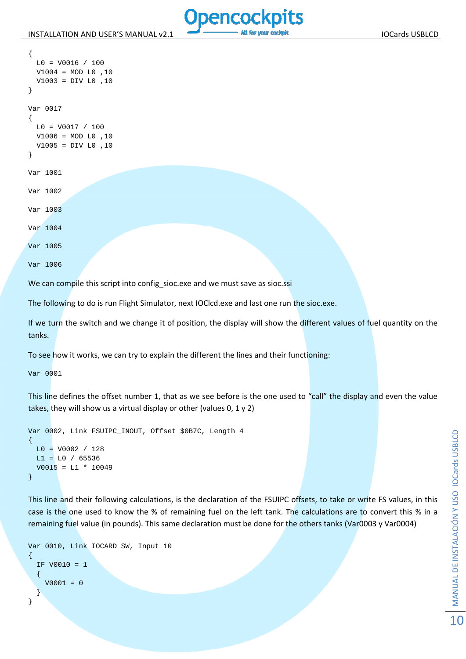

```
 L0 = V0016 / 100 
   V1004 = MOD L0 ,10 
   V1003 = DIV L0 ,10 
} 
Var 0017 
\left\{ \right.LO = VO017 / 100 V1006 = MOD L0 ,10 
   V1005 = DIV L0 ,10 
} 
Var 1001 
Var 1002 
Var 1003 
Var 1004 
Var 1005 
Var 1006
```
{

We can compile this script into config\_sioc.exe and we must save as sioc.ssi

The following to do is run Flight Simulator, next IOClcd.exe and last one run the sioc.exe.

If we turn the switch and we change it of position, the display will show the different values of fuel quantity on the tanks.

To see how it works, we can try to explain the different the lines and their functioning:

Var 0001

This line defines the offset number 1, that as we see before is the one used to "call" the display and even the value takes, they will show us a virtual display or other (values 0, 1 y 2)

```
Var 0002, Link FSUIPC_INOUT, Offset $0B7C, Length 4 
{ 
 LO = VO002 / 128LI = L0 / 65536V0015 = L1 * 10049}
```
This line and their following calculations, is the declaration of the FSUIPC offsets, to take or write FS values, in this case is the one used to know the % of remaining fuel on the left tank. The calculations are to convert this % in a remaining fuel value (in pounds). This same declaration must be done for the others tanks (Var0003 y Var0004)

```
Var 0010, Link IOCARD_SW, Input 10 
{ 
   IF V0010 = 1 
   { 
    V0001 = 0 } 
}
```